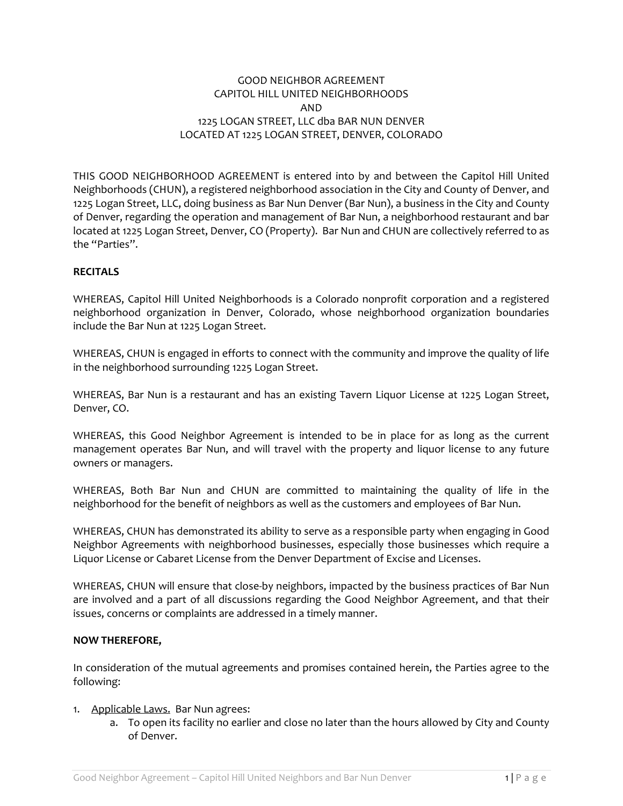## GOOD NEIGHBOR AGREEMENT CAPITOL HILL UNITED NEIGHBORHOODS AND 1225 LOGAN STREET, LLC dba BAR NUN DENVER LOCATED AT 1225 LOGAN STREET, DENVER, COLORADO

THIS GOOD NEIGHBORHOOD AGREEMENT is entered into by and between the Capitol Hill United Neighborhoods (CHUN), a registered neighborhood association in the City and County of Denver, and 1225 Logan Street, LLC, doing business as Bar Nun Denver (Bar Nun), a business in the City and County of Denver, regarding the operation and management of Bar Nun, a neighborhood restaurant and bar located at 1225 Logan Street, Denver, CO (Property). Bar Nun and CHUN are collectively referred to as the "Parties".

## **RECITALS**

WHEREAS, Capitol Hill United Neighborhoods is a Colorado nonprofit corporation and a registered neighborhood organization in Denver, Colorado, whose neighborhood organization boundaries include the Bar Nun at 1225 Logan Street.

WHEREAS, CHUN is engaged in efforts to connect with the community and improve the quality of life in the neighborhood surrounding 1225 Logan Street.

WHEREAS, Bar Nun is a restaurant and has an existing Tavern Liquor License at 1225 Logan Street, Denver, CO.

WHEREAS, this Good Neighbor Agreement is intended to be in place for as long as the current management operates Bar Nun, and will travel with the property and liquor license to any future owners or managers.

WHEREAS, Both Bar Nun and CHUN are committed to maintaining the quality of life in the neighborhood for the benefit of neighbors as well as the customers and employees of Bar Nun.

WHEREAS, CHUN has demonstrated its ability to serve as a responsible party when engaging in Good Neighbor Agreements with neighborhood businesses, especially those businesses which require a Liquor License or Cabaret License from the Denver Department of Excise and Licenses.

WHEREAS, CHUN will ensure that close-by neighbors, impacted by the business practices of Bar Nun are involved and a part of all discussions regarding the Good Neighbor Agreement, and that their issues, concerns or complaints are addressed in a timely manner.

## **NOW THEREFORE,**

In consideration of the mutual agreements and promises contained herein, the Parties agree to the following:

## 1. Applicable Laws. Bar Nun agrees:

a. To open its facility no earlier and close no later than the hours allowed by City and County of Denver.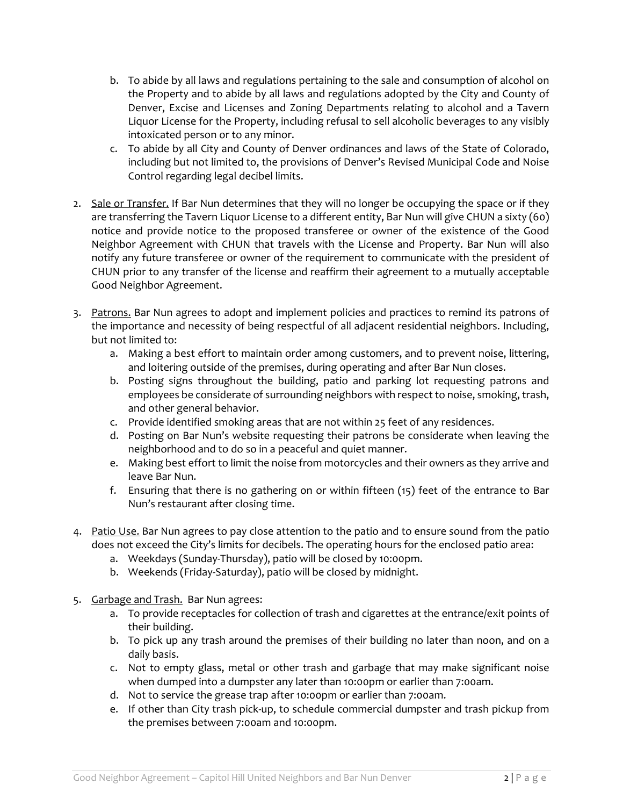- b. To abide by all laws and regulations pertaining to the sale and consumption of alcohol on the Property and to abide by all laws and regulations adopted by the City and County of Denver, Excise and Licenses and Zoning Departments relating to alcohol and a Tavern Liquor License for the Property, including refusal to sell alcoholic beverages to any visibly intoxicated person or to any minor.
- c. To abide by all City and County of Denver ordinances and laws of the State of Colorado, including but not limited to, the provisions of Denver's Revised Municipal Code and Noise Control regarding legal decibel limits.
- 2. Sale or Transfer. If Bar Nun determines that they will no longer be occupying the space or if they are transferring the Tavern Liquor License to a different entity, Bar Nun will give CHUN a sixty (60) notice and provide notice to the proposed transferee or owner of the existence of the Good Neighbor Agreement with CHUN that travels with the License and Property. Bar Nun will also notify any future transferee or owner of the requirement to communicate with the president of CHUN prior to any transfer of the license and reaffirm their agreement to a mutually acceptable Good Neighbor Agreement.
- 3. Patrons. Bar Nun agrees to adopt and implement policies and practices to remind its patrons of the importance and necessity of being respectful of all adjacent residential neighbors. Including, but not limited to:
	- a. Making a best effort to maintain order among customers, and to prevent noise, littering, and loitering outside of the premises, during operating and after Bar Nun closes.
	- b. Posting signs throughout the building, patio and parking lot requesting patrons and employees be considerate of surrounding neighbors with respect to noise, smoking, trash, and other general behavior.
	- c. Provide identified smoking areas that are not within 25 feet of any residences.
	- d. Posting on Bar Nun's website requesting their patrons be considerate when leaving the neighborhood and to do so in a peaceful and quiet manner.
	- e. Making best effort to limit the noise from motorcycles and their owners as they arrive and leave Bar Nun.
	- f. Ensuring that there is no gathering on or within fifteen (15) feet of the entrance to Bar Nun's restaurant after closing time.
- 4. Patio Use. Bar Nun agrees to pay close attention to the patio and to ensure sound from the patio does not exceed the City's limits for decibels. The operating hours for the enclosed patio area:
	- a. Weekdays (Sunday-Thursday), patio will be closed by 10:00pm.
	- b. Weekends (Friday-Saturday), patio will be closed by midnight.
- 5. Garbage and Trash. Bar Nun agrees:
	- a. To provide receptacles for collection of trash and cigarettes at the entrance/exit points of their building.
	- b. To pick up any trash around the premises of their building no later than noon, and on a daily basis.
	- c. Not to empty glass, metal or other trash and garbage that may make significant noise when dumped into a dumpster any later than 10:00pm or earlier than 7:00am.
	- d. Not to service the grease trap after 10:00pm or earlier than 7:00am.
	- e. If other than City trash pick-up, to schedule commercial dumpster and trash pickup from the premises between 7:00am and 10:00pm.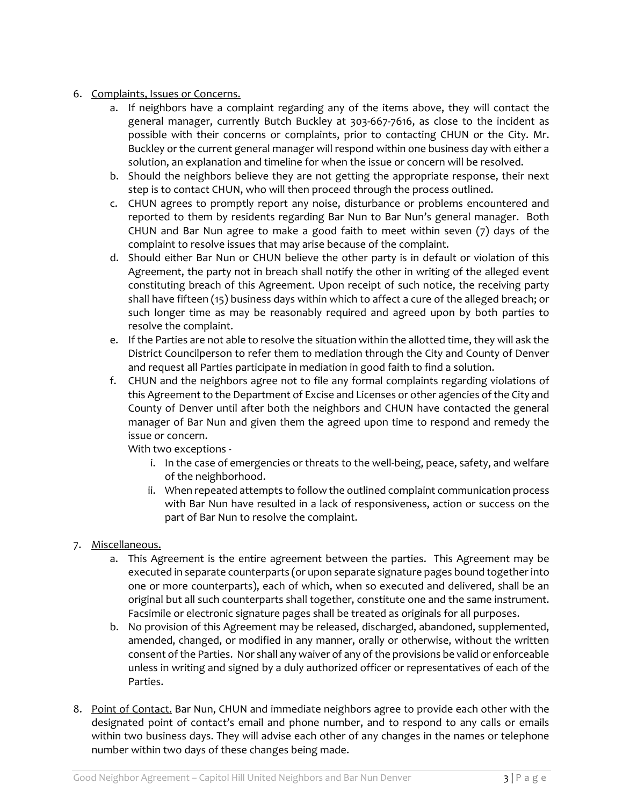- 6. Complaints, Issues or Concerns.
	- a. If neighbors have a complaint regarding any of the items above, they will contact the general manager, currently Butch Buckley at 303-667-7616, as close to the incident as possible with their concerns or complaints, prior to contacting CHUN or the City. Mr. Buckley or the current general manager will respond within one business day with either a solution, an explanation and timeline for when the issue or concern will be resolved.
	- b. Should the neighbors believe they are not getting the appropriate response, their next step is to contact CHUN, who will then proceed through the process outlined.
	- c. CHUN agrees to promptly report any noise, disturbance or problems encountered and reported to them by residents regarding Bar Nun to Bar Nun's general manager. Both CHUN and Bar Nun agree to make a good faith to meet within seven (7) days of the complaint to resolve issues that may arise because of the complaint.
	- d. Should either Bar Nun or CHUN believe the other party is in default or violation of this Agreement, the party not in breach shall notify the other in writing of the alleged event constituting breach of this Agreement. Upon receipt of such notice, the receiving party shall have fifteen (15) business days within which to affect a cure of the alleged breach; or such longer time as may be reasonably required and agreed upon by both parties to resolve the complaint.
	- e. If the Parties are not able to resolve the situation within the allotted time, they will ask the District Councilperson to refer them to mediation through the City and County of Denver and request all Parties participate in mediation in good faith to find a solution.
	- f. CHUN and the neighbors agree not to file any formal complaints regarding violations of this Agreement to the Department of Excise and Licenses or other agencies of the City and County of Denver until after both the neighbors and CHUN have contacted the general manager of Bar Nun and given them the agreed upon time to respond and remedy the issue or concern.

With two exceptions -

- i. In the case of emergencies or threats to the well-being, peace, safety, and welfare of the neighborhood.
- ii. When repeated attempts to follow the outlined complaint communication process with Bar Nun have resulted in a lack of responsiveness, action or success on the part of Bar Nun to resolve the complaint.
- 7. Miscellaneous.
	- a. This Agreement is the entire agreement between the parties. This Agreement may be executed in separate counterparts (or upon separate signature pages bound together into one or more counterparts), each of which, when so executed and delivered, shall be an original but all such counterparts shall together, constitute one and the same instrument. Facsimile or electronic signature pages shall be treated as originals for all purposes.
	- b. No provision of this Agreement may be released, discharged, abandoned, supplemented, amended, changed, or modified in any manner, orally or otherwise, without the written consent of the Parties. Nor shall any waiver of any of the provisions be valid or enforceable unless in writing and signed by a duly authorized officer or representatives of each of the Parties.
- 8. Point of Contact. Bar Nun, CHUN and immediate neighbors agree to provide each other with the designated point of contact's email and phone number, and to respond to any calls or emails within two business days. They will advise each other of any changes in the names or telephone number within two days of these changes being made.